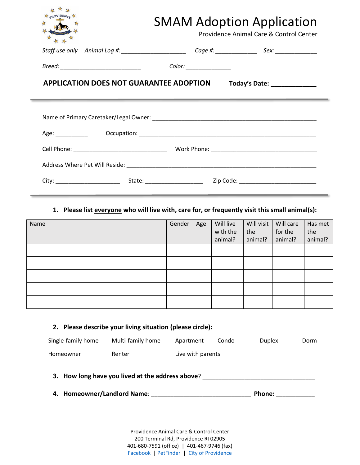|                                                | Providence Animal Care & Control Center                                                                               |
|------------------------------------------------|-----------------------------------------------------------------------------------------------------------------------|
|                                                | Staff use only Animal Log #: __________________________ Cage #: ________________ Sex: ______________                  |
|                                                |                                                                                                                       |
| <b>APPLICATION DOES NOT GUARANTEE ADOPTION</b> | Today's Date: _______________                                                                                         |
|                                                | <u> 1989 - Jan Samuel Barbara, martin da shekara ta 1989 - An tsara tsara tsara tsara tsara tsara tsara tsara tsa</u> |
|                                                |                                                                                                                       |
|                                                |                                                                                                                       |
|                                                |                                                                                                                       |
|                                                |                                                                                                                       |
|                                                |                                                                                                                       |
|                                                |                                                                                                                       |
|                                                |                                                                                                                       |

| Name | Gender | Age | Will live<br>with the<br>animal? | Will visit  <br>the<br>animal? | Will care<br>for the<br>animal? | Has met<br>the<br>animal? |
|------|--------|-----|----------------------------------|--------------------------------|---------------------------------|---------------------------|
|      |        |     |                                  |                                |                                 |                           |
|      |        |     |                                  |                                |                                 |                           |
|      |        |     |                                  |                                |                                 |                           |
|      |        |     |                                  |                                |                                 |                           |
|      |        |     |                                  |                                |                                 |                           |

|                             | 2. Please describe your living situation (please circle): |                   |       |               |      |
|-----------------------------|-----------------------------------------------------------|-------------------|-------|---------------|------|
| Single-family home          | Multi-family home                                         | Apartment         | Condo | <b>Duplex</b> | Dorm |
| Homeowner                   | Renter                                                    | Live with parents |       |               |      |
| 4. Homeowner/Landlord Name: | 3. How long have you lived at the address above?          |                   |       | Phone:        |      |

Providence Animal Care & Control Center 200 Terminal Rd, Providence RI 02905 401-680-7591 (office) | 401-467-9746 (fax) [Facebook](https://www.facebook.com/ProvidenceAnimalControl/) | [PetFinder](https://www.petfinder.com/member/us/ri/providence/providence-animal-control-ri79/) | [City of Providence](https://www.providenceri.gov/animal-control/adoptions/)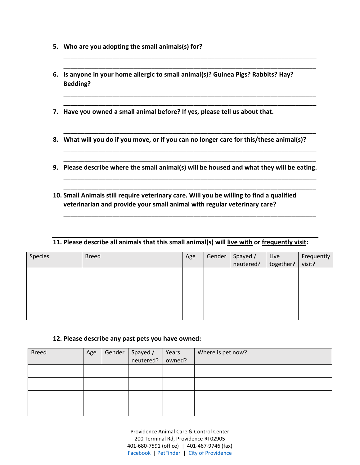- **5. Who are you adopting the small animals(s) for?**
- **6. Is anyone in your home allergic to small animal(s)? Guinea Pigs? Rabbits? Hay? Bedding?**

\_\_\_\_\_\_\_\_\_\_\_\_\_\_\_\_\_\_\_\_\_\_\_\_\_\_\_\_\_\_\_\_\_\_\_\_\_\_\_\_\_\_\_\_\_\_\_\_\_\_\_\_\_\_\_\_\_\_\_\_\_\_\_\_\_\_\_\_\_\_\_\_ \_\_\_\_\_\_\_\_\_\_\_\_\_\_\_\_\_\_\_\_\_\_\_\_\_\_\_\_\_\_\_\_\_\_\_\_\_\_\_\_\_\_\_\_\_\_\_\_\_\_\_\_\_\_\_\_\_\_\_\_\_\_\_\_\_\_\_\_\_\_\_\_

\_\_\_\_\_\_\_\_\_\_\_\_\_\_\_\_\_\_\_\_\_\_\_\_\_\_\_\_\_\_\_\_\_\_\_\_\_\_\_\_\_\_\_\_\_\_\_\_\_\_\_\_\_\_\_\_\_\_\_\_\_\_\_\_\_\_\_\_\_\_\_\_ \_\_\_\_\_\_\_\_\_\_\_\_\_\_\_\_\_\_\_\_\_\_\_\_\_\_\_\_\_\_\_\_\_\_\_\_\_\_\_\_\_\_\_\_\_\_\_\_\_\_\_\_\_\_\_\_\_\_\_\_\_\_\_\_\_\_\_\_\_\_\_\_

\_\_\_\_\_\_\_\_\_\_\_\_\_\_\_\_\_\_\_\_\_\_\_\_\_\_\_\_\_\_\_\_\_\_\_\_\_\_\_\_\_\_\_\_\_\_\_\_\_\_\_\_\_\_\_\_\_\_\_\_\_\_\_\_\_\_\_\_\_\_\_\_ \_\_\_\_\_\_\_\_\_\_\_\_\_\_\_\_\_\_\_\_\_\_\_\_\_\_\_\_\_\_\_\_\_\_\_\_\_\_\_\_\_\_\_\_\_\_\_\_\_\_\_\_\_\_\_\_\_\_\_\_\_\_\_\_\_\_\_\_\_\_\_\_

\_\_\_\_\_\_\_\_\_\_\_\_\_\_\_\_\_\_\_\_\_\_\_\_\_\_\_\_\_\_\_\_\_\_\_\_\_\_\_\_\_\_\_\_\_\_\_\_\_\_\_\_\_\_\_\_\_\_\_\_\_\_\_\_\_\_\_\_\_\_\_\_ \_\_\_\_\_\_\_\_\_\_\_\_\_\_\_\_\_\_\_\_\_\_\_\_\_\_\_\_\_\_\_\_\_\_\_\_\_\_\_\_\_\_\_\_\_\_\_\_\_\_\_\_\_\_\_\_\_\_\_\_\_\_\_\_\_\_\_\_\_\_\_\_

\_\_\_\_\_\_\_\_\_\_\_\_\_\_\_\_\_\_\_\_\_\_\_\_\_\_\_\_\_\_\_\_\_\_\_\_\_\_\_\_\_\_\_\_\_\_\_\_\_\_\_\_\_\_\_\_\_\_\_\_\_\_\_\_\_\_\_\_\_\_\_\_ \_\_\_\_\_\_\_\_\_\_\_\_\_\_\_\_\_\_\_\_\_\_\_\_\_\_\_\_\_\_\_\_\_\_\_\_\_\_\_\_\_\_\_\_\_\_\_\_\_\_\_\_\_\_\_\_\_\_\_\_\_\_\_\_\_\_\_\_\_\_\_\_

\_\_\_\_\_\_\_\_\_\_\_\_\_\_\_\_\_\_\_\_\_\_\_\_\_\_\_\_\_\_\_\_\_\_\_\_\_\_\_\_\_\_\_\_\_\_\_\_\_\_\_\_\_\_\_\_\_\_\_\_\_\_\_\_\_\_\_\_\_\_\_\_ \_\_\_\_\_\_\_\_\_\_\_\_\_\_\_\_\_\_\_\_\_\_\_\_\_\_\_\_\_\_\_\_\_\_\_\_\_\_\_\_\_\_\_\_\_\_\_\_\_\_\_\_\_\_\_\_\_\_\_\_\_\_\_\_\_\_\_\_\_\_\_\_

- **7. Have you owned a small animal before? If yes, please tell us about that.**
- **8. What will you do if you move, or if you can no longer care for this/these animal(s)?**
- **9. Please describe where the small animal(s) will be housed and what they will be eating.**
- **10. Small Animals still require veterinary care. Will you be willing to find a qualified veterinarian and provide your small animal with regular veterinary care?**

## **11. Please describe all animals that this small animal(s) will live with or frequently visit:**

| Species | <b>Breed</b> | Age | Gender | Spayed / Live<br>neutered?   together? | Frequently<br>visit? |
|---------|--------------|-----|--------|----------------------------------------|----------------------|
|         |              |     |        |                                        |                      |
|         |              |     |        |                                        |                      |
|         |              |     |        |                                        |                      |
|         |              |     |        |                                        |                      |

## **12. Please describe any past pets you have owned:**

| <b>Breed</b> | Age | Gender | Spayed / | Years  | Where is pet now? |
|--------------|-----|--------|----------|--------|-------------------|
|              |     |        |          | owned? |                   |
|              |     |        |          |        |                   |
|              |     |        |          |        |                   |
|              |     |        |          |        |                   |
|              |     |        |          |        |                   |
|              |     |        |          |        |                   |

Providence Animal Care & Control Center 200 Terminal Rd, Providence RI 02905 401-680-7591 (office) | 401-467-9746 (fax) [Facebook](https://www.facebook.com/ProvidenceAnimalControl/) | [PetFinder](https://www.petfinder.com/member/us/ri/providence/providence-animal-control-ri79/) | [City of Providence](https://www.providenceri.gov/animal-control/adoptions/)